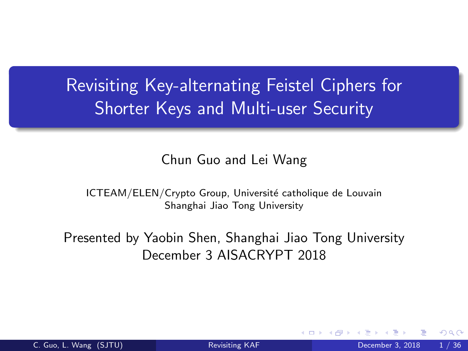Revisiting Key-alternating Feistel Ciphers for Shorter Keys and Multi-user Security

#### <span id="page-0-0"></span>Chun Guo and Lei Wang

ICTEAM/ELEN/Crypto Group, Université catholique de Louvain Shanghai Jiao Tong University

Presented by Yaobin Shen, Shanghai Jiao Tong University December 3 AISACRYPT 2018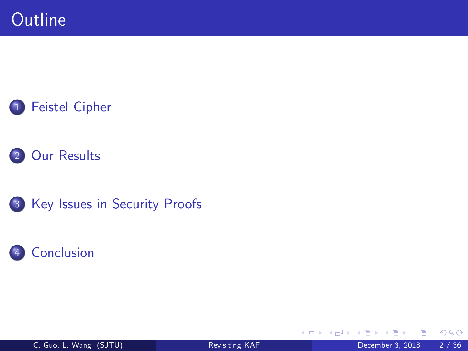



3 [Key Issues in Security Proofs](#page-28-0)



4 D F

→ 何 ▶

≃

э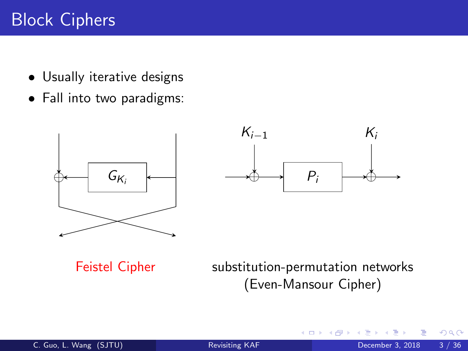# Block Ciphers

- Usually iterative designs
- Fall into two paradigms:



<span id="page-2-0"></span>4 0 8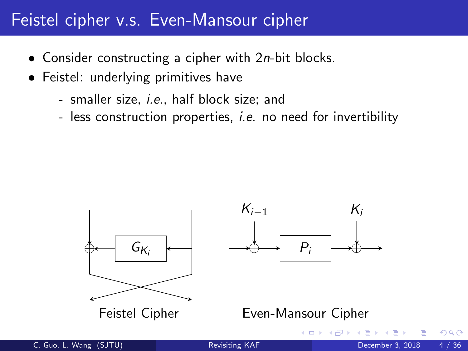## Feistel cipher v.s. Even-Mansour cipher

- Consider constructing a cipher with 2*n*-bit blocks.
- Feistel: underlying primitives have
	- smaller size, i.e., half block size; and
	- less construction properties, *i.e.* no need for invertibility

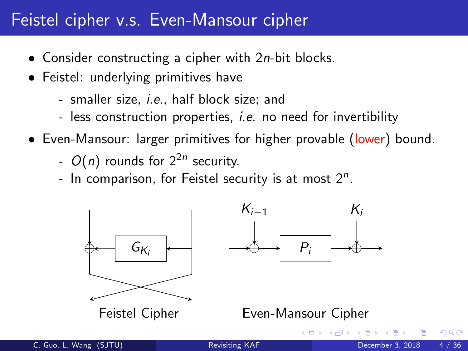## Feistel cipher v.s. Even-Mansour cipher

- Consider constructing a cipher with 2*n*-bit blocks.
- Feistel: underlying primitives have
	- smaller size, i.e., half block size; and
	- less construction properties, *i.e.* no need for invertibility
- Even-Mansour: larger primitives for higher provable (lower) bound.
	- $O(n)$  rounds for  $2^{2n}$  security.
	- In comparison, for Feistel security is at most  $2^n$ .

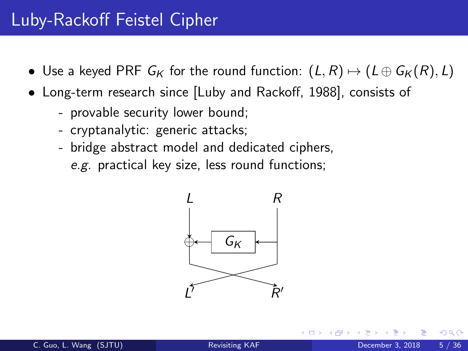## Luby-Rackoff Feistel Cipher

- Use a keyed PRF  $G_K$  for the round function:  $(L, R) \mapsto (L \oplus G_K (R), L)$
- Long-term research since [Luby and Rackoff, 1988], consists of
	- provable security lower bound;
	- cryptanalytic: generic attacks;
	- bridge abstract model and dedicated ciphers, e.g. practical key size, less round functions;



つひひ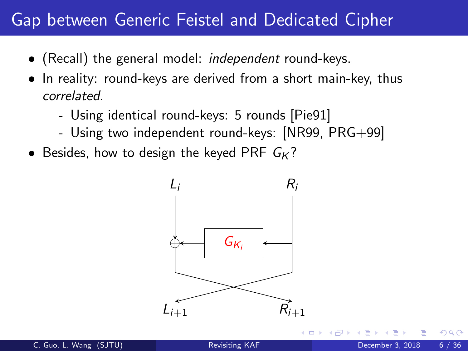### Gap between Generic Feistel and Dedicated Cipher

- (Recall) the general model: *independent* round-keys.
- In reality: round-keys are derived from a short main-key, thus correlated.
	- Using identical round-keys: 5 rounds [Pie91]
	- Using two independent round-keys: [NR99, PRG+99]
- Besides, how to design the keyed PRF  $G_K$ ?



つひひ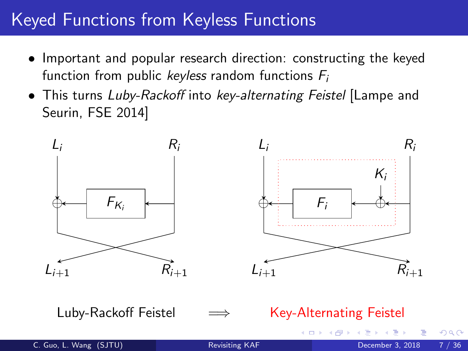# Keyed Functions from Keyless Functions

- Important and popular research direction: constructing the keyed function from public keyless random functions  $F_i$
- This turns Luby-Rackoff into key-alternating Feistel [Lampe and Seurin, FSE 2014]



#### Luby-Rackoff Feistel =⇒ Key-Alternating Feistel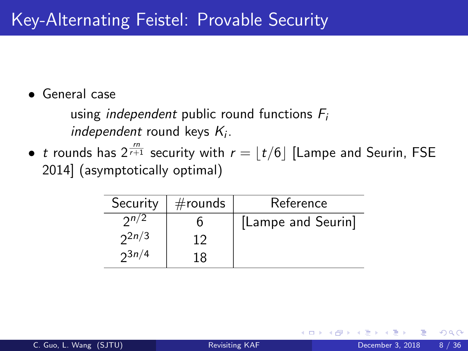• General case

using *independent* public round functions  $F_i$  $independent$  round keys  $K_i$ .

 $\bullet\;$   $t$  rounds has  $2^{\frac{rn}{r+1}}$  security with  $r=\lfloor t/6\rfloor$  [Lampe and Seurin, FSE 2014] (asymptotically optimal)

| Security   | $#$ rounds | Reference          |
|------------|------------|--------------------|
| 2n/2       |            | [Lampe and Seurin] |
| $2^{2n/3}$ |            |                    |
| $2^{3n/4}$ |            |                    |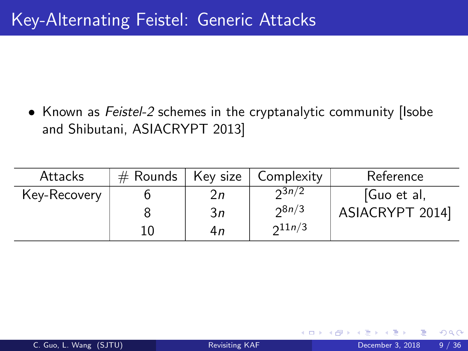• Known as Feistel-2 schemes in the cryptanalytic community (Isobe and Shibutani, ASIACRYPT 2013]

| Attacks      | $#$ Rounds | Key size | Complexity  | Reference       |
|--------------|------------|----------|-------------|-----------------|
| Key-Recovery |            | 2n       | $2^{3n/2}$  | [Guo et al,     |
|              |            | 3n       | 28n/3       | ASIACRYPT 2014] |
|              | 10         | 4n       | $2^{11n/3}$ |                 |

4 0 8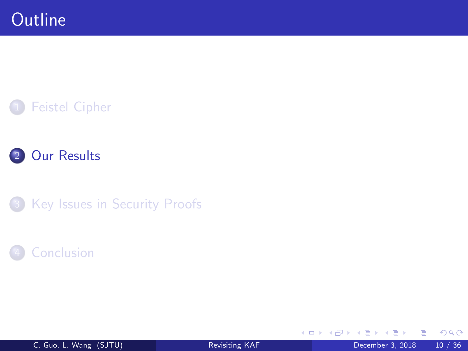



3 [Key Issues in Security Proofs](#page-28-0)

### **[Conclusion](#page-34-0)**

4 日下

4 f →

画

重

 $\sim$  $\sim$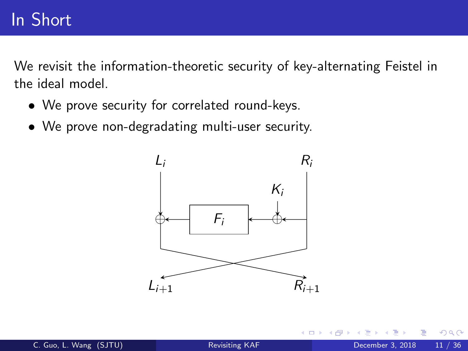## In Short

We revisit the information-theoretic security of key-alternating Feistel in the ideal model.

- We prove security for correlated round-keys.
- We prove non-degradating multi-user security.

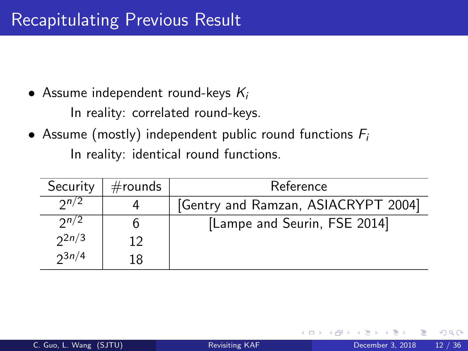• Assume independent round-keys  $K_i$ 

In reality: correlated round-keys.

• Assume (mostly) independent public round functions  $F_i$ In reality: identical round functions.

<span id="page-12-0"></span>

| Security   | $#$ rounds | Reference                           |  |  |
|------------|------------|-------------------------------------|--|--|
| 2n/2       |            | [Gentry and Ramzan, ASIACRYPT 2004] |  |  |
| 2n/2       |            | [Lampe and Seurin, FSE 2014]        |  |  |
| $2^{2n/3}$ | 12         |                                     |  |  |
| $2^{3n/4}$ | 18         |                                     |  |  |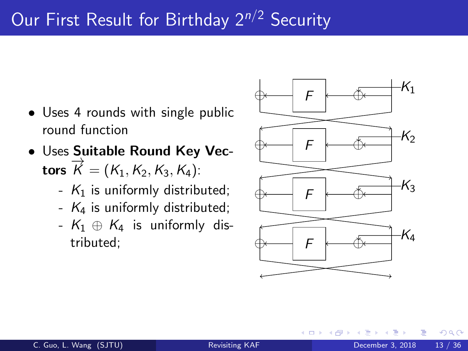# Our First Result for Birthday  $2^{n/2}$  Security

- Uses 4 rounds with single public round function
- Uses Suitable Round Key Vectors  $\overrightarrow{K} = (K_1, K_2, K_3, K_4)$ :
	- $K_1$  is uniformly distributed;
	- $K_4$  is uniformly distributed;
	- $K_1 \oplus K_4$  is uniformly distributed:

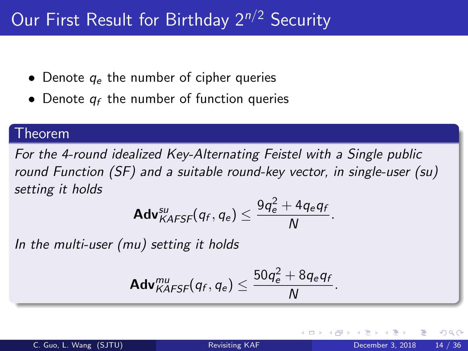# Our First Result for Birthday 2<sup>n/2</sup> Security

- Denote  $q_e$  the number of cipher queries
- Denote  $q_f$  the number of function queries

#### Theorem

For the 4-round idealized Key-Alternating Feistel with a Single public round Function (SF) and a suitable round-key vector, in single-user (su) setting it holds

$$
\mathsf{Adv}_{KAFSF}^{su}(q_f,q_e) \leq \frac{9q_e^2 + 4q_eq_f}{N}.
$$

In the multi-user (mu) setting it holds

$$
\mathsf{Adv}_{KAFSF}^{mu}(q_f, q_e) \leq \frac{50q_e^2 + 8q_eq_f}{N}.
$$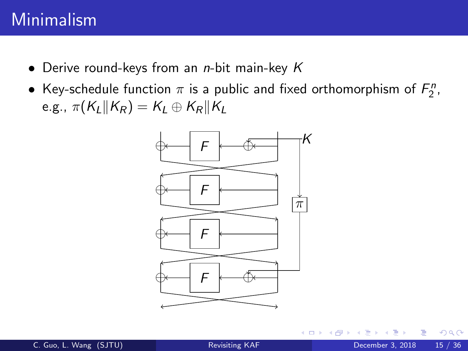## Minimalism

- Derive round-keys from an *n*-bit main-key K
- Key-schedule function  $\pi$  is a public and fixed orthomorphism of  $F_2^n$ , e.g.,  $\pi(K_L||K_R) = K_L \oplus K_R||K_L$

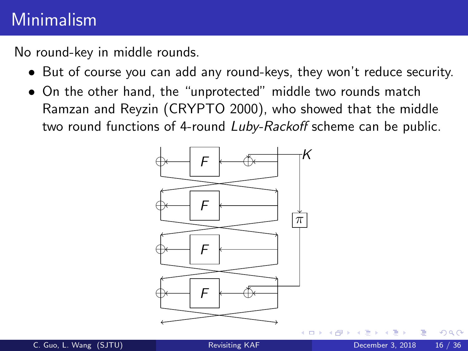# Minimalism

No round-key in middle rounds.

- But of course you can add any round-keys, they won't reduce security.
- On the other hand, the "unprotected" middle two rounds match Ramzan and Reyzin (CRYPTO 2000), who showed that the middle two round functions of 4-round Luby-Rackoff scheme can be public.



つひひ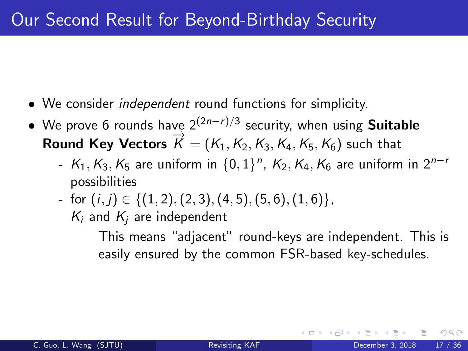- We consider *independent* round functions for simplicity.
- We prove 6 rounds have  $2^{(2n-r)/3}$  security, when using **Suitable** Round Key Vectors  $\vec{K} = (K_1, K_2, K_3, K_4, K_5, K_6)$  such that
	- $K_1, K_3, K_5$  are uniform in  $\{0,1\}^n$ ,  $K_2, K_4, K_6$  are uniform in  $2^{n-r}$ possibilities
	- for  $(i, j) \in \{(1, 2), (2, 3), (4, 5), (5, 6), (1, 6)\},\$ 
		- $K_i$  and  $K_i$  are independent

This means "adjacent" round-keys are independent. This is easily ensured by the common FSR-based key-schedules.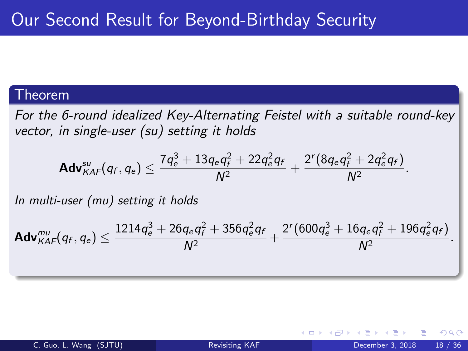#### Theorem

For the 6-round idealized Key-Alternating Feistel with a suitable round-key vector, in single-user (su) setting it holds

$$
\mathbf{Adv}_{KAF}^{su}(q_f,q_e)\leq \frac{7q_e^3+13q_eq_f^2+22q_e^2q_f}{N^2}+\frac{2^r(8q_eq_f^2+2q_e^2q_f)}{N^2}.
$$

In multi-user (mu) setting it holds

$$
\mathsf{Adv}_{\mathsf{KAF}}^{\mathsf{mu}}(q_f, q_e) \leq \frac{1214q_e^3 + 26q_e q_f^2 + 356q_e^2 q_f}{N^2} + \frac{2^r (600q_e^3 + 16q_e q_f^2 + 196q_e^2 q_f)}{N^2}.
$$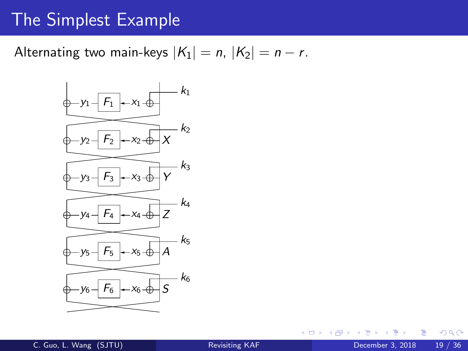### The Simplest Example

### Alternating two main-keys  $|K_1| = n$ ,  $|K_2| = n - r$ .



4 0 8

э

 $QQ$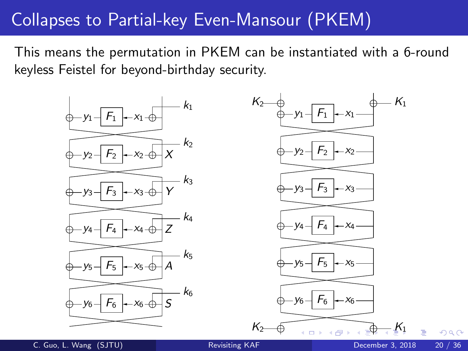## Collapses to Partial-key Even-Mansour (PKEM)

This means the permutation in PKEM can be instantiated with a 6-round keyless Feistel for beyond-birthday security.



C. Guo, L. Wang (SJTU) [Revisiting KAF](#page-0-0) December 3, 2018 20 / 36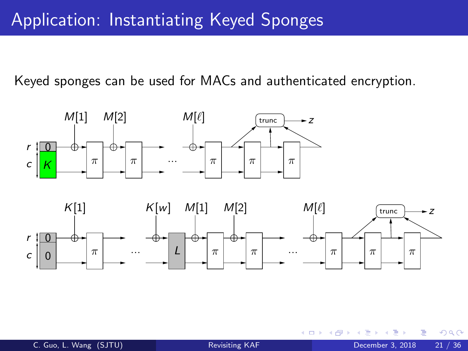## Application: Instantiating Keyed Sponges

Keyed sponges can be used for MACs and authenticated encryption.





 $\leftarrow$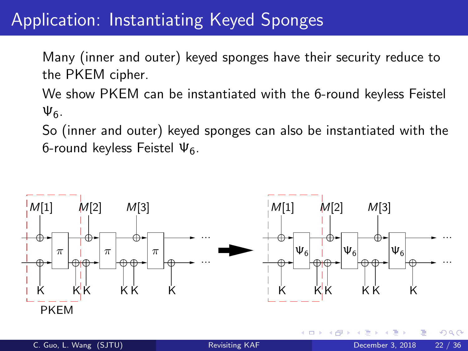## Application: Instantiating Keyed Sponges

Many (inner and outer) keyed sponges have their security reduce to the PKEM cipher.

We show PKEM can be instantiated with the 6-round keyless Feistel Ψ6.

So (inner and outer) keyed sponges can also be instantiated with the 6-round keyless Feistel  $\Psi_6$ .

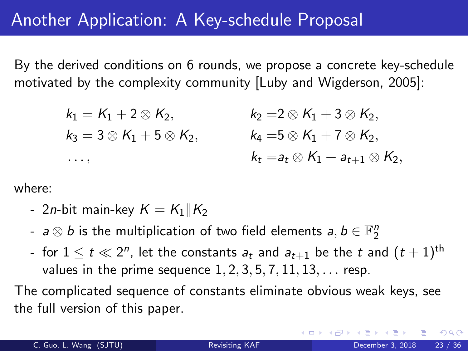### Another Application: A Key-schedule Proposal

By the derived conditions on 6 rounds, we propose a concrete key-schedule motivated by the complexity community [Luby and Wigderson, 2005]:

> $k_1 = K_1 + 2 \otimes K_2,$   $k_2 = 2 \otimes K_1 + 3 \otimes K_2,$  $k_3 = 3 \otimes K_1 + 5 \otimes K_2$ ,  $k_4 = 5 \otimes K_1 + 7 \otimes K_2$ .  $k_t = a_t \otimes K_1 + a_{t+1} \otimes K_2,$

where:

- 2n-bit main-key  $K = K_1 || K_2$
- $a \otimes b$  is the multiplication of two field elements  $a,b \in \mathbb{F}_2^n$
- for  $1\leq t\ll 2^n$ , let the constants  $a_t$  and  $a_{t+1}$  be the  $t$  and  $(t+1)^{\text{th}}$ values in the prime sequence  $1, 2, 3, 5, 7, 11, 13, \ldots$  resp.

The complicated sequence of constants eliminate obvious weak keys, see the full version of this paper.

 $\Omega$ 

**4 ロト 4 何 ト 4**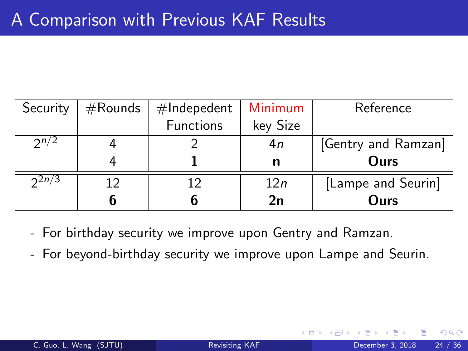| Security | $#$ Rounds | $#$ Indepedent | Minimum  | Reference           |
|----------|------------|----------------|----------|---------------------|
|          |            | Functions      | key Size |                     |
| 2n/2     |            |                | 4n       | [Gentry and Ramzan] |
|          |            |                | n        | Ours                |
| 2n/3     | 12         | 12             | 12n      | [Lampe and Seurin]  |
|          | 6          |                | 2n       | Ours                |

- For birthday security we improve upon Gentry and Ramzan.
- For beyond-birthday security we improve upon Lampe and Seurin.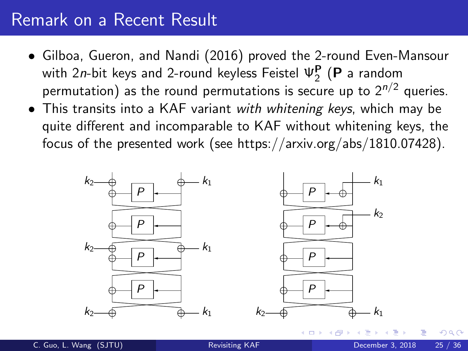### Remark on a Recent Result

- Gilboa, Gueron, and Nandi (2016) proved the 2-round Even-Mansour with 2*n*-bit keys and 2-round keyless Feistel  $\boldsymbol{\mathsf{\Psi}}_{2}^{\mathbf{P}}$  (**P** a random with zh-bit keys and z-round keyless reister  $\frac{1}{2}$  (**F** a random permutation) as the round permutations is secure up to  $2^{n/2}$  queries.
- This transits into a KAF variant with whitening keys, which may be quite different and incomparable to KAF without whitening keys, the focus of the presented work (see https://arxiv.org/abs/1810.07428).

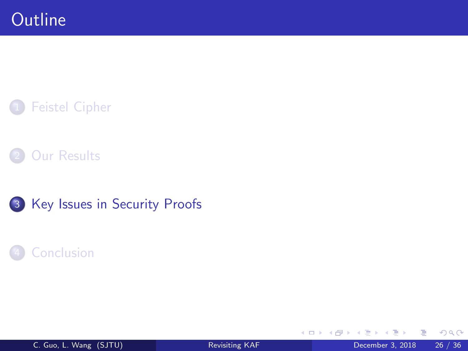





### **[Conclusion](#page-34-0)**

4 0 8

4 何 ▶

э

舌

 $\mathcal{A}$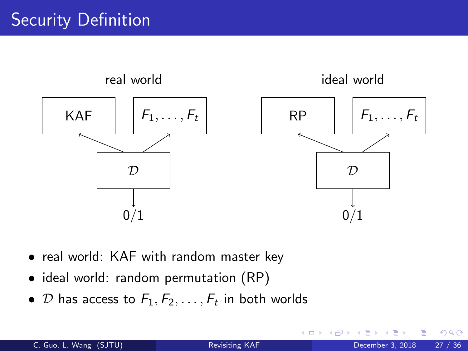

- real world: KAF with random master key
- ideal world: random permutation (RP)
- <span id="page-27-0"></span> $\bullet$   ${\cal D}$  has access to  ${\cal F}_1, {\cal F}_2, \ldots, {\cal F}_t$  in both worlds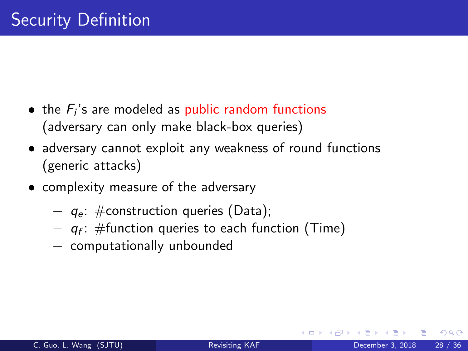- $\bullet\,$  the  $F_i$ 's are modeled as public random functions (adversary can only make black-box queries)
- adversary cannot exploit any weakness of round functions (generic attacks)
- <span id="page-28-0"></span>• complexity measure of the adversary
	- $q_e$ : #construction queries (Data);
	- $\,q_f$ : #function queries to each function (Time)
	- − computationally unbounded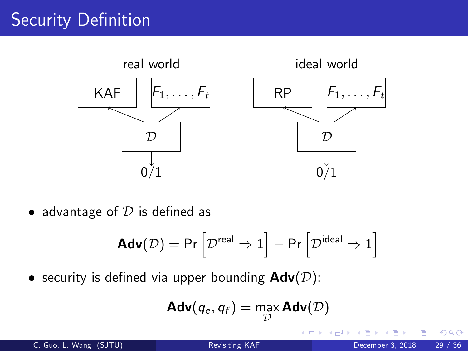# Security Definition



• advantage of  $D$  is defined as

$$
\text{Adv}(\mathcal{D}) = \text{Pr}\left[\mathcal{D}^{\text{real}} \Rightarrow 1\right] - \text{Pr}\left[\mathcal{D}^{\text{ideal}} \Rightarrow 1\right]
$$

• security is defined via upper bounding  $\mathbf{Adv}(\mathcal{D})$ :

$$
\mathbf{Adv}(q_e,q_f)=\max_{\mathcal{D}}\mathbf{Adv}(\mathcal{D})
$$

4 0 8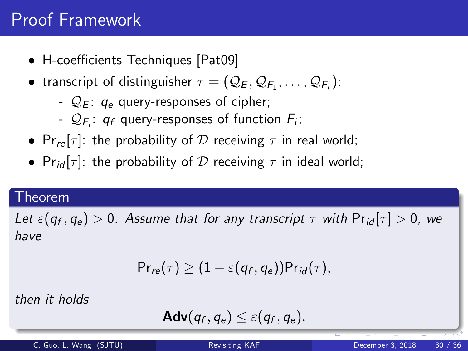# Proof Framework

- H-coefficients Techniques [Pat09]
- transcript of distinguisher  $\tau=(\mathcal{Q}_E,\mathcal{Q}_{F_1},\ldots,\mathcal{Q}_{F_t})$ :
	- $Q_F$ :  $q_e$  query-responses of cipher;
	- $\mathcal{Q}_{F_i}:$   $q_f$  query-responses of function  $F_i$ ;
- Pr<sub>re</sub> $[\tau]$ : the probability of D receiving  $\tau$  in real world;
- Pr<sub>id</sub>  $[\tau]$ : the probability of D receiving  $\tau$  in ideal world;

#### Theorem

Let  $\varepsilon (q_f, q_e) > 0$ . Assume that for any transcript  $\tau$  with  $\mathsf{Pr}_{\mathsf{id}}[\tau] > 0$ , we have

$$
\mathsf{Pr}_{re}(\tau) \geq (1-\varepsilon(q_f,q_e))\mathsf{Pr}_{id}(\tau),
$$

then it holds

$$
\mathbf{Adv}(q_f,q_e) \leq \varepsilon(q_f,q_e).
$$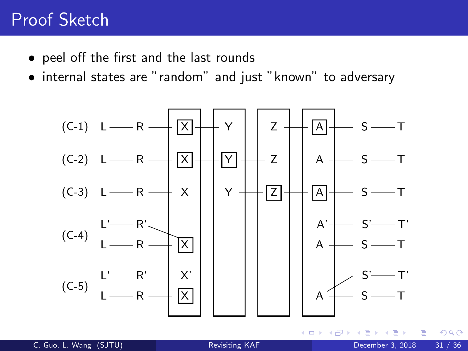## Proof Sketch

- peel off the first and the last rounds
- internal states are "random" and just "known" to adversary

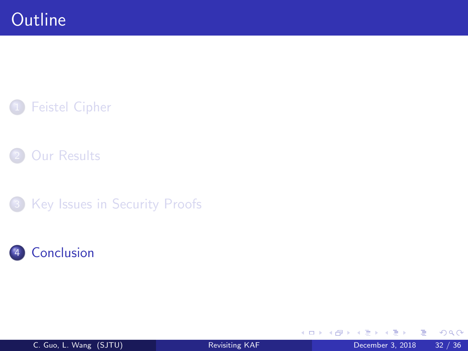### **[Feistel Cipher](#page-2-0)**



3 [Key Issues in Security Proofs](#page-28-0)



4 日下

4 f →

э

Þ

 $\sim$  $\sim$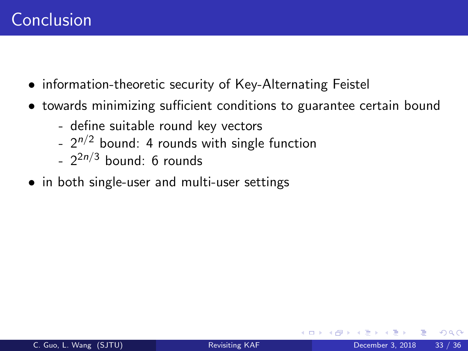- information-theoretic security of Key-Alternating Feistel
- towards minimizing sufficient conditions to guarantee certain bound
	- define suitable round key vectors
	- $-2^{n/2}$  bound: 4 rounds with single function
	- 2<sup>2*n*/3</sup> bound: 6 rounds
- in both single-user and multi-user settings

つひひ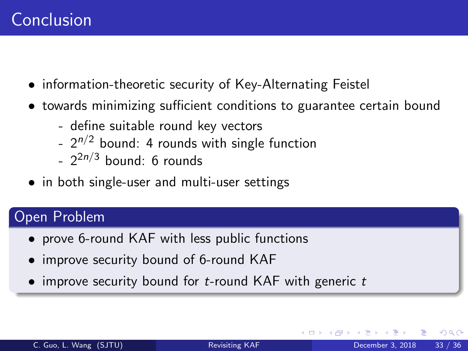- information-theoretic security of Key-Alternating Feistel
- towards minimizing sufficient conditions to guarantee certain bound
	- define suitable round key vectors
	- $-2^{n/2}$  bound: 4 rounds with single function
	- 2<sup>2*n*/3</sup> bound: 6 rounds
- in both single-user and multi-user settings

### Open Problem

- prove 6-round KAF with less public functions
- improve security bound of 6-round KAF
- <span id="page-34-0"></span>• improve security bound for  $t$ -round KAF with generic  $t$